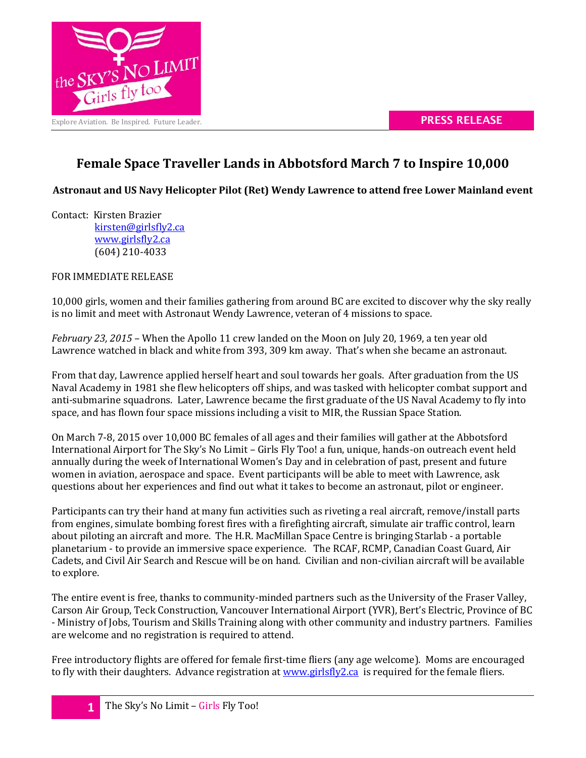

## **Female Space Traveller Lands in Abbotsford March 7 to Inspire 10,000**

**Astronaut and US Navy Helicopter Pilot (Ret) Wendy Lawrence to attend free Lower Mainland event**

Contact: Kirsten Brazier

[kirsten@girlsfly2.ca](mailto:kirsten@girlsfly2.ca) [www.girlsfly2.ca](http://www.girlsfly2.ca/) (604) 210-4033

FOR IMMEDIATE RELEASE

10,000 girls, women and their families gathering from around BC are excited to discover why the sky really is no limit and meet with Astronaut Wendy Lawrence, veteran of 4 missions to space.

*February 23, 2015* – When the Apollo 11 crew landed on the Moon on July 20, 1969, a ten year old Lawrence watched in black and white from 393, 309 km away. That's when she became an astronaut.

From that day, Lawrence applied herself heart and soul towards her goals. After graduation from the US Naval Academy in 1981 she flew helicopters off ships, and was tasked with helicopter combat support and anti-submarine squadrons. Later, Lawrence became the first graduate of the US Naval Academy to fly into space, and has flown four space missions including a visit to MIR, the Russian Space Station.

On March 7-8, 2015 over 10,000 BC females of all ages and their families will gather at the Abbotsford International Airport for The Sky's No Limit – Girls Fly Too! a fun, unique, hands-on outreach event held annually during the week of International Women's Day and in celebration of past, present and future women in aviation, aerospace and space. Event participants will be able to meet with Lawrence, ask questions about her experiences and find out what it takes to become an astronaut, pilot or engineer.

Participants can try their hand at many fun activities such as riveting a real aircraft, remove/install parts from engines, simulate bombing forest fires with a firefighting aircraft, simulate air traffic control, learn about piloting an aircraft and more. The H.R. MacMillan Space Centre is bringing Starlab - a portable planetarium - to provide an immersive space experience. The RCAF, RCMP, Canadian Coast Guard, Air Cadets, and Civil Air Search and Rescue will be on hand. Civilian and non-civilian aircraft will be available to explore.

The entire event is free, thanks to community-minded partners such as the University of the Fraser Valley, Carson Air Group, Teck Construction, Vancouver International Airport (YVR), Bert's Electric, Province of BC - Ministry of Jobs, Tourism and Skills Training along with other community and industry partners. Families are welcome and no registration is required to attend.

Free introductory flights are offered for female first-time fliers (any age welcome). Moms are encouraged to fly with their daughters. Advance registration at [www.girlsfly2.ca](http://www.girlsfly2.ca/) is required for the female fliers.